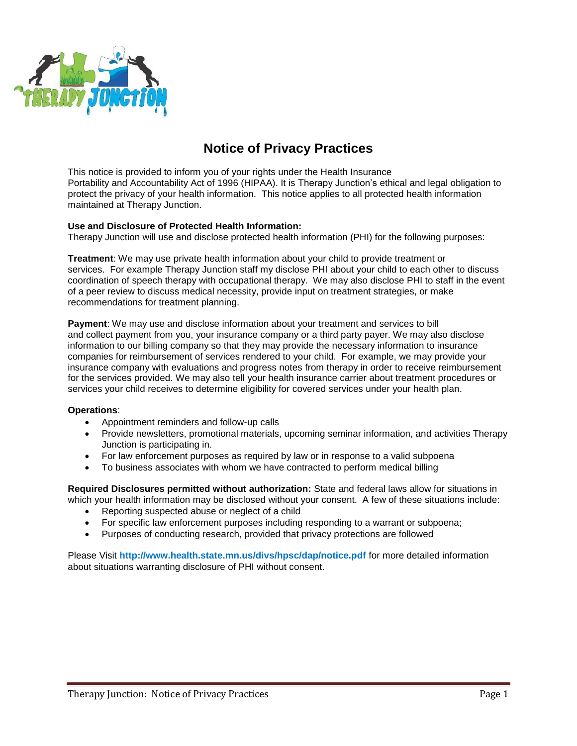

# **Notice of Privacy Practices**

This notice is provided to inform you of your rights under the Health Insurance Portability and Accountability Act of 1996 (HIPAA). It is Therapy Junction's ethical and legal obligation to protect the privacy of your health information. This notice applies to all protected health information maintained at Therapy Junction.

## **Use and Disclosure of Protected Health Information:**

Therapy Junction will use and disclose protected health information (PHI) for the following purposes:

**Treatment**: We may use private health information about your child to provide treatment or services. For example Therapy Junction staff my disclose PHI about your child to each other to discuss coordination of speech therapy with occupational therapy. We may also disclose PHI to staff in the event of a peer review to discuss medical necessity, provide input on treatment strategies, or make recommendations for treatment planning.

**Payment**: We may use and disclose information about your treatment and services to bill and collect payment from you, your insurance company or a third party payer. We may also disclose information to our billing company so that they may provide the necessary information to insurance companies for reimbursement of services rendered to your child. For example, we may provide your insurance company with evaluations and progress notes from therapy in order to receive reimbursement for the services provided. We may also tell your health insurance carrier about treatment procedures or services your child receives to determine eligibility for covered services under your health plan.

#### **Operations**:

- Appointment reminders and follow-up calls
- Provide newsletters, promotional materials, upcoming seminar information, and activities Therapy Junction is participating in.
- For law enforcement purposes as required by law or in response to a valid subpoena
- To business associates with whom we have contracted to perform medical billing

**Required Disclosures permitted without authorization:** State and federal laws allow for situations in which your health information may be disclosed without your consent. A few of these situations include:

- Reporting suspected abuse or neglect of a child
- For specific law enforcement purposes including responding to a warrant or subpoena;
- Purposes of conducting research, provided that privacy protections are followed

Please Visit **http://www.health.state.mn.us/divs/hpsc/dap/notice.pdf** for more detailed information about situations warranting disclosure of PHI without consent.